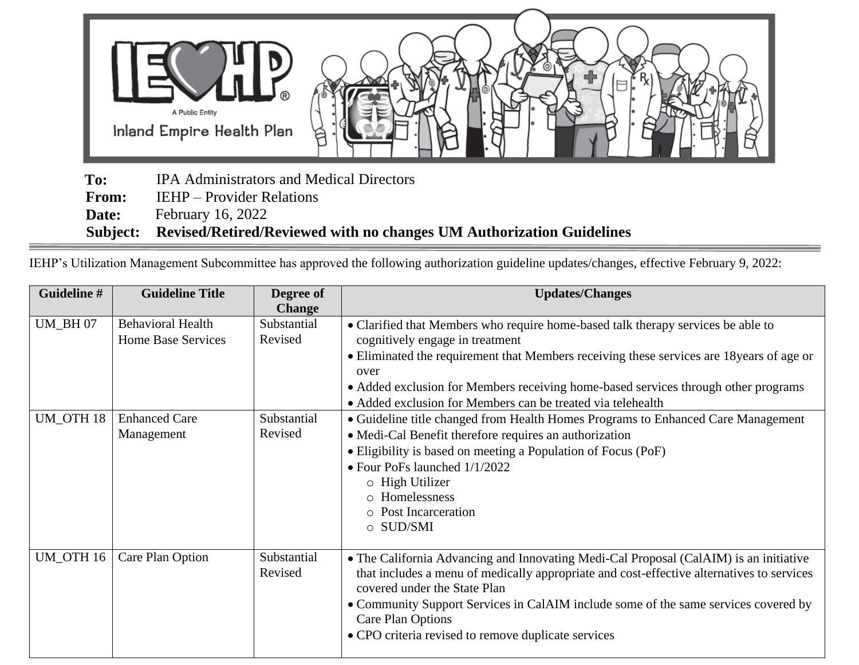

 **To:** IPA Administrators and Medical Directors

**From:** IEHP – Provider Relations

**Date:** February 16, 2022

 **Subject: Revised/Retired/Reviewed with no changes UM Authorization Guidelines**

IEHP's Utilization Management Subcommittee has approved the following authorization guideline updates/changes, effective February 9, 2022:

| Guideline #      | <b>Guideline Title</b>                                | Degree of<br><b>Change</b> | <b>Updates/Changes</b>                                                                                                                                                                                                                                                                                                                                                                |
|------------------|-------------------------------------------------------|----------------------------|---------------------------------------------------------------------------------------------------------------------------------------------------------------------------------------------------------------------------------------------------------------------------------------------------------------------------------------------------------------------------------------|
| <b>UM_BH07</b>   | <b>Behavioral Health</b><br><b>Home Base Services</b> | Substantial<br>Revised     | • Clarified that Members who require home-based talk therapy services be able to<br>cognitively engage in treatment<br>• Eliminated the requirement that Members receiving these services are 18 years of age or<br>over<br>• Added exclusion for Members receiving home-based services through other programs<br>• Added exclusion for Members can be treated via telehealth         |
| <b>UM_OTH 18</b> | <b>Enhanced Care</b><br>Management                    | Substantial<br>Revised     | • Guideline title changed from Health Homes Programs to Enhanced Care Management<br>• Medi-Cal Benefit therefore requires an authorization<br>• Eligibility is based on meeting a Population of Focus (PoF)<br>• Four PoFs launched 1/1/2022<br>$\circ$ High Utilizer<br>o Homelessness<br>o Post Incarceration<br>$\circ$ SUD/SMI                                                    |
| UM_OTH 16        | Care Plan Option                                      | Substantial<br>Revised     | • The California Advancing and Innovating Medi-Cal Proposal (CalAIM) is an initiative<br>that includes a menu of medically appropriate and cost-effective alternatives to services<br>covered under the State Plan<br>• Community Support Services in CalAIM include some of the same services covered by<br>Care Plan Options<br>• CPO criteria revised to remove duplicate services |